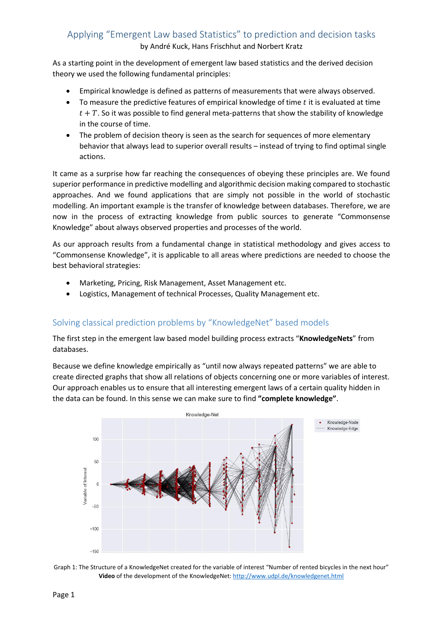## Applying "Emergent Law based Statistics" to prediction and decision tasks by André Kuck, Hans Frischhut and Norbert Kratz

As a starting point in the development of emergent law based statistics and the derived decision theory we used the following fundamental principles:

- Empirical knowledge is defined as patterns of measurements that were always observed.
- $\bullet$  To measure the predictive features of empirical knowledge of time t it is evaluated at time  $t + T$ . So it was possible to find general meta-patterns that show the stability of knowledge in the course of time.
- The problem of decision theory is seen as the search for sequences of more elementary behavior that always lead to superior overall results – instead of trying to find optimal single actions.

It came as a surprise how far reaching the consequences of obeying these principles are. We found superior performance in predictive modelling and algorithmic decision making compared to stochastic approaches. And we found applications that are simply not possible in the world of stochastic modelling. An important example is the transfer of knowledge between databases. Therefore, we are now in the process of extracting knowledge from public sources to generate "Commonsense Knowledge" about always observed properties and processes of the world.

As our approach results from a fundamental change in statistical methodology and gives access to "Commonsense Knowledge", it is applicable to all areas where predictions are needed to choose the best behavioral strategies:

- Marketing, Pricing, Risk Management, Asset Management etc.
- Logistics, Management of technical Processes, Quality Management etc.

## Solving classical prediction problems by "KnowledgeNet" based models

The first step in the emergent law based model building process extracts "**KnowledgeNets**" from databases.

Because we define knowledge empirically as "until now always repeated patterns" we are able to create directed graphs that show all relations of objects concerning one or more variables of interest. Our approach enables us to ensure that all interesting emergent laws of a certain quality hidden in the data can be found. In this sense we can make sure to find **"complete knowledge"**.



Graph 1: The Structure of a KnowledgeNet created for the variable of interest "Number of rented bicycles in the next hour" Video of the development of the KnowledgeNet[: http://www.udpl.de/knowledgenet.html](http://www.udpl.de/knowledgenet.html)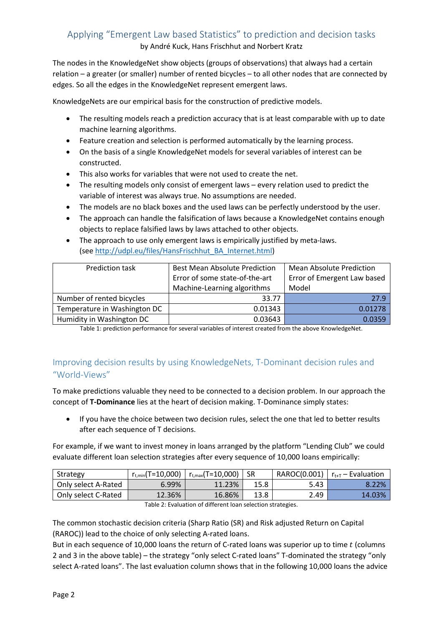# Applying "Emergent Law based Statistics" to prediction and decision tasks

by André Kuck, Hans Frischhut and Norbert Kratz

The nodes in the KnowledgeNet show objects (groups of observations) that always had a certain relation – a greater (or smaller) number of rented bicycles – to all other nodes that are connected by edges. So all the edges in the KnowledgeNet represent emergent laws.

KnowledgeNets are our empirical basis for the construction of predictive models.

- The resulting models reach a prediction accuracy that is at least comparable with up to date machine learning algorithms.
- Feature creation and selection is performed automatically by the learning process.
- On the basis of a single KnowledgeNet models for several variables of interest can be constructed.
- This also works for variables that were not used to create the net.
- The resulting models only consist of emergent laws every relation used to predict the variable of interest was always true. No assumptions are needed.
- The models are no black boxes and the used laws can be perfectly understood by the user.
- The approach can handle the falsification of laws because a KnowledgeNet contains enough objects to replace falsified laws by laws attached to other objects.
- The approach to use only emergent laws is empirically justified by meta-laws. (see [http://udpl.eu/files/HansFrischhut\\_BA\\_Internet.html\)](http://udpl.eu/files/HansFrischhut_BA_Internet.html)

| <b>Prediction task</b>       | <b>Best Mean Absolute Prediction</b><br>Error of some state-of-the-art | <b>Mean Absolute Prediction</b><br>Error of Emergent Law based |  |
|------------------------------|------------------------------------------------------------------------|----------------------------------------------------------------|--|
|                              | Machine-Learning algorithms                                            | Model                                                          |  |
| Number of rented bicycles    | 33.77                                                                  | 27.9                                                           |  |
| Temperature in Washington DC | 0.01343                                                                | 0.01278                                                        |  |
| Humidity in Washington DC    | 0.03643                                                                | 0.0359                                                         |  |

Table 1: prediction performance for several variables of interest created from the above KnowledgeNet.

## Improving decision results by using KnowledgeNets, T-Dominant decision rules and "World-Views"

To make predictions valuable they need to be connected to a decision problem. In our approach the concept of **T-Dominance** lies at the heart of decision making. T-Dominance simply states:

 If you have the choice between two decision rules, select the one that led to better results after each sequence of T decisions.

For example, if we want to invest money in loans arranged by the platform "Lending Club" we could evaluate different loan selection strategies after every sequence of 10,000 loans empirically:

| Strategy            | $r_{t,min}(T=10,000)$ | $r_{t, max}(T=10,000)$ | -SR  |      | RAROC(0.001)   $r_{t+T}$ – Evaluation |
|---------------------|-----------------------|------------------------|------|------|---------------------------------------|
| Only select A-Rated | 6.99%                 | 11.23%                 | 15.8 | 5.43 | 8.22%                                 |
| Only select C-Rated | 12.36%                | 16.86%                 | 13.8 | 2.49 | 14.03%                                |

Table 2: Evaluation of different loan selection strategies.

The common stochastic decision criteria (Sharp Ratio (SR) and Risk adjusted Return on Capital (RAROC)) lead to the choice of only selecting A-rated loans.

But in each sequence of 10,000 loans the return of C-rated loans was superior up to time  $t$  (columns 2 and 3 in the above table) – the strategy "only select C-rated loans" T-dominated the strategy "only select A-rated loans". The last evaluation column shows that in the following 10,000 loans the advice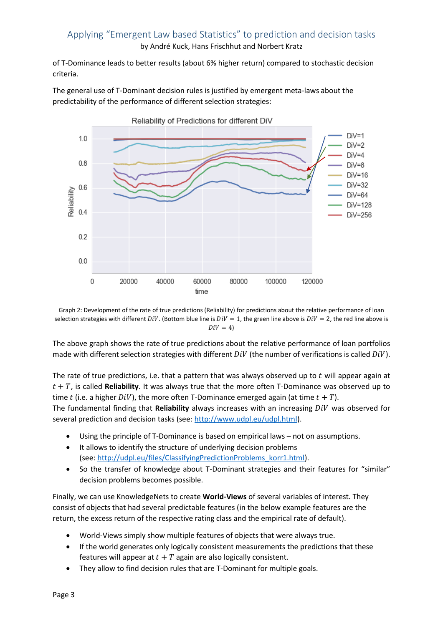### Applying "Emergent Law based Statistics" to prediction and decision tasks by André Kuck, Hans Frischhut and Norbert Kratz

of T-Dominance leads to better results (about 6% higher return) compared to stochastic decision criteria.

The general use of T-Dominant decision rules is justified by emergent meta-laws about the predictability of the performance of different selection strategies:



Graph 2: Development of the rate of true predictions (Reliability) for predictions about the relative performance of loan selection strategies with different  $Div$ . (Bottom blue line is  $Div = 1$ , the green line above is  $Div = 2$ , the red line above is  $Div = 4$ )

The above graph shows the rate of true predictions about the relative performance of loan portfolios made with different selection strategies with different  $DiV$  (the number of verifications is called  $DiV$ ).

The rate of true predictions, i.e. that a pattern that was always observed up to  $t$  will appear again at  $t + T$ , is called **Reliability**. It was always true that the more often T-Dominance was observed up to time t (i.e. a higher  $DiV$ ), the more often T-Dominance emerged again (at time  $t + T$ ).

The fundamental finding that Reliability always increases with an increasing DiV was observed for several prediction and decision tasks (see: [http://www.udpl.eu/udpl.html\)](http://www.udpl.eu/udpl.html).

- Using the principle of T-Dominance is based on empirical laws not on assumptions.
- It allows to identify the structure of underlying decision problems (see: [http://udpl.eu/files/ClassifyingPredictionProblems\\_korr1.html\)](http://udpl.eu/files/ClassifyingPredictionProblems_korr1.html).
- So the transfer of knowledge about T-Dominant strategies and their features for "similar" decision problems becomes possible.

Finally, we can use KnowledgeNets to create **World-Views** of several variables of interest. They consist of objects that had several predictable features (in the below example features are the return, the excess return of the respective rating class and the empirical rate of default).

- World-Views simply show multiple features of objects that were always true.
- If the world generates only logically consistent measurements the predictions that these features will appear at  $t + T$  again are also logically consistent.
- They allow to find decision rules that are T-Dominant for multiple goals.